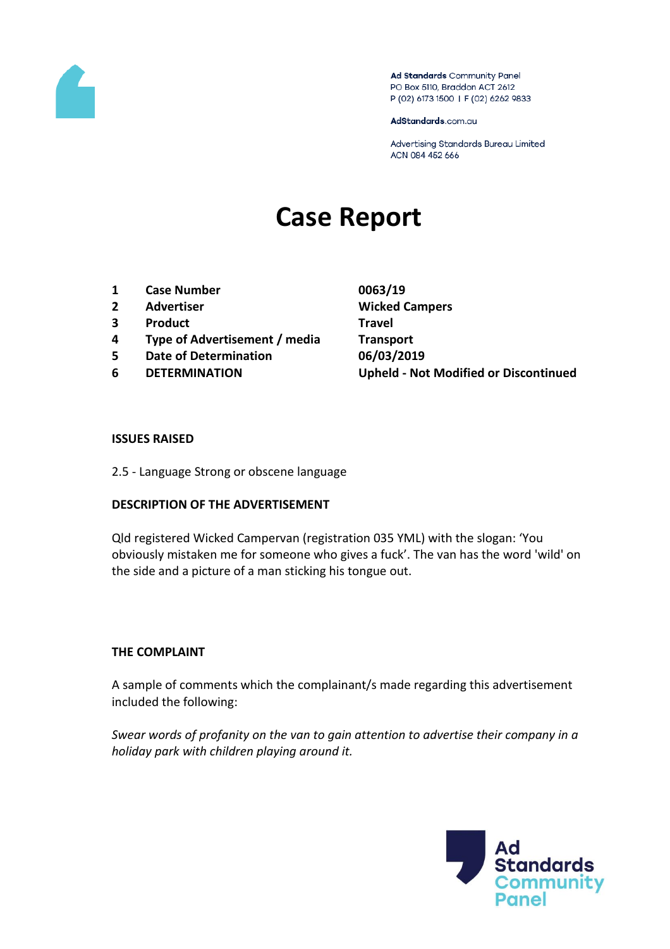

Ad Standards Community Panel PO Box 5110, Braddon ACT 2612 P (02) 6173 1500 | F (02) 6262 9833

AdStandards.com.au

Advertising Standards Bureau Limited ACN 084 452 666

# **Case Report**

- **1 Case Number 0063/19**
- **2 Advertiser Wicked Campers**
- **3 Product Travel**
- **4 Type of Advertisement / media Transport**
- **5 Date of Determination 06/03/2019**
- 

**6 DETERMINATION Upheld - Not Modified or Discontinued**

#### **ISSUES RAISED**

2.5 - Language Strong or obscene language

#### **DESCRIPTION OF THE ADVERTISEMENT**

Qld registered Wicked Campervan (registration 035 YML) with the slogan: 'You obviously mistaken me for someone who gives a fuck'. The van has the word 'wild' on the side and a picture of a man sticking his tongue out.

#### **THE COMPLAINT**

A sample of comments which the complainant/s made regarding this advertisement included the following:

*Swear words of profanity on the van to gain attention to advertise their company in a holiday park with children playing around it.*

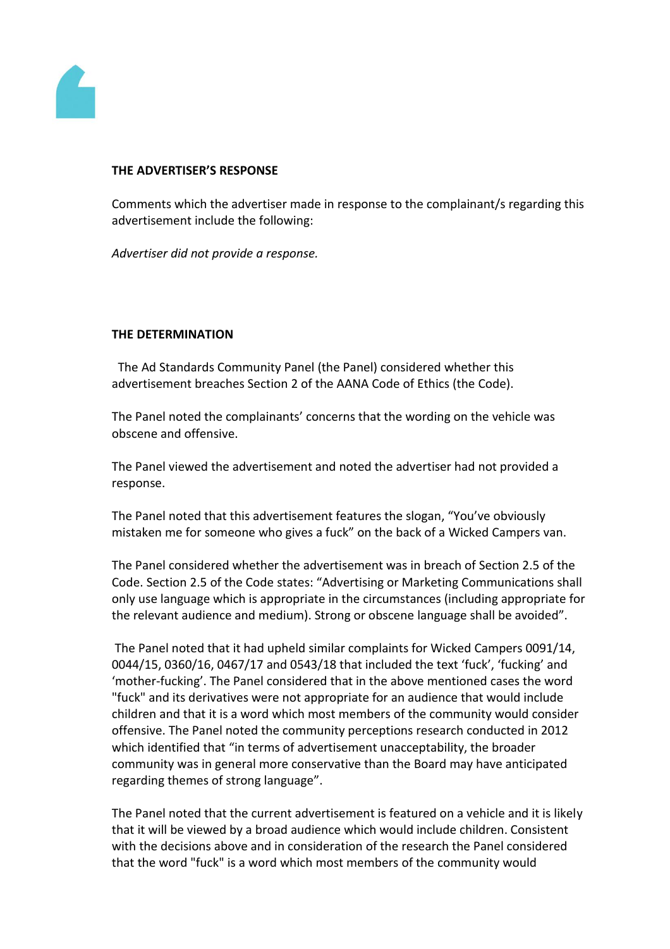

## **THE ADVERTISER'S RESPONSE**

Comments which the advertiser made in response to the complainant/s regarding this advertisement include the following:

*Advertiser did not provide a response.*

## **THE DETERMINATION**

 The Ad Standards Community Panel (the Panel) considered whether this advertisement breaches Section 2 of the AANA Code of Ethics (the Code).

The Panel noted the complainants' concerns that the wording on the vehicle was obscene and offensive.

The Panel viewed the advertisement and noted the advertiser had not provided a response.

The Panel noted that this advertisement features the slogan, "You've obviously mistaken me for someone who gives a fuck" on the back of a Wicked Campers van.

The Panel considered whether the advertisement was in breach of Section 2.5 of the Code. Section 2.5 of the Code states: "Advertising or Marketing Communications shall only use language which is appropriate in the circumstances (including appropriate for the relevant audience and medium). Strong or obscene language shall be avoided".

The Panel noted that it had upheld similar complaints for Wicked Campers 0091/14, 0044/15, 0360/16, 0467/17 and 0543/18 that included the text 'fuck', 'fucking' and 'mother-fucking'. The Panel considered that in the above mentioned cases the word "fuck" and its derivatives were not appropriate for an audience that would include children and that it is a word which most members of the community would consider offensive. The Panel noted the community perceptions research conducted in 2012 which identified that "in terms of advertisement unacceptability, the broader community was in general more conservative than the Board may have anticipated regarding themes of strong language".

The Panel noted that the current advertisement is featured on a vehicle and it is likely that it will be viewed by a broad audience which would include children. Consistent with the decisions above and in consideration of the research the Panel considered that the word "fuck" is a word which most members of the community would